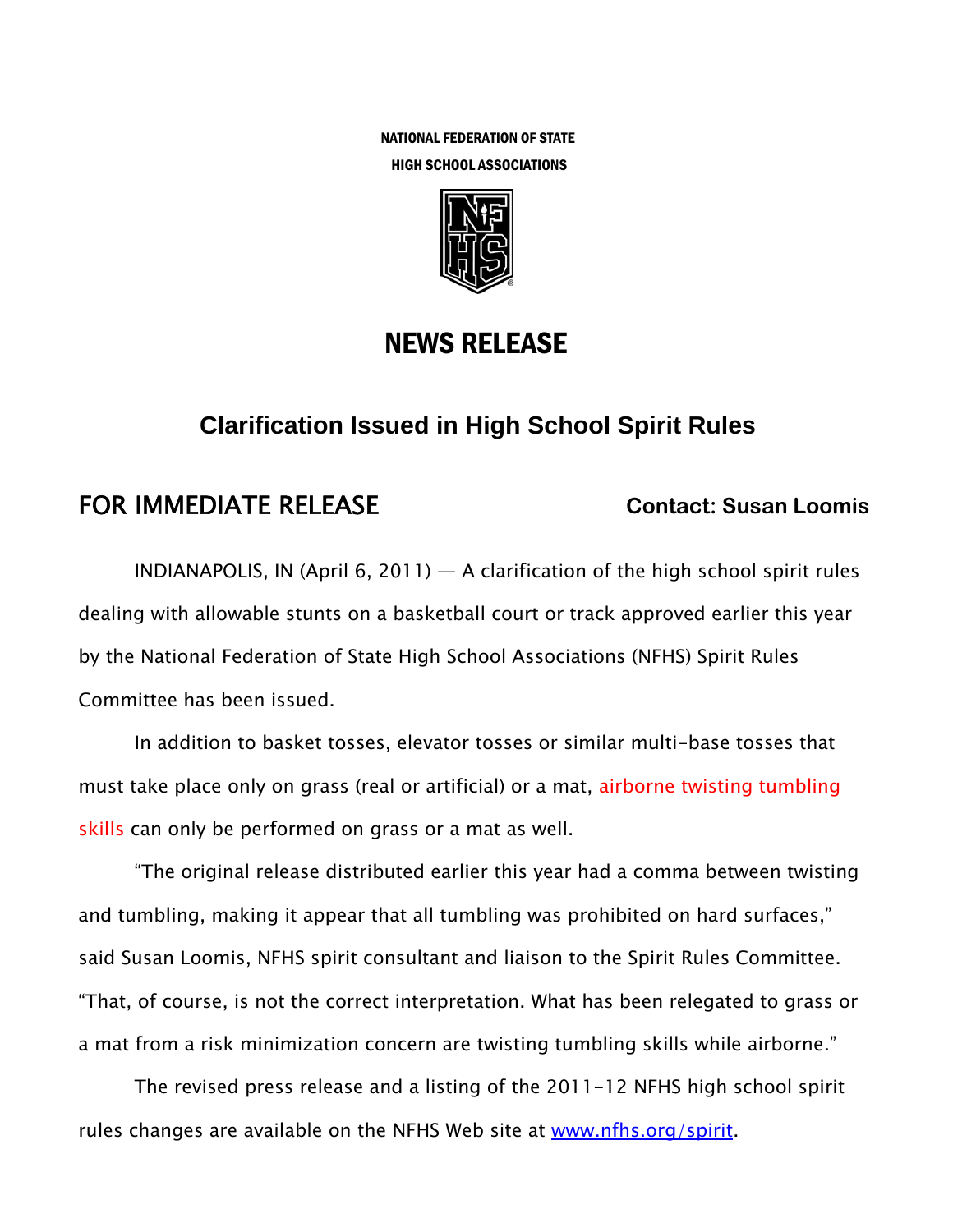NATIONAL FEDERATION OF STATE HIGH SCHOOL ASSOCIATIONS



### NEWS RELEASE

# **Clarification Issued in High School Spirit Rules**

# FOR IMMEDIATE RELEASE **Contact: Susan Loomis**

INDIANAPOLIS, IN (April 6, 2011)  $-$  A clarification of the high school spirit rules dealing with allowable stunts on a basketball court or track approved earlier this year by the National Federation of State High School Associations (NFHS) Spirit Rules Committee has been issued.

In addition to basket tosses, elevator tosses or similar multi-base tosses that must take place only on grass (real or artificial) or a mat, airborne twisting tumbling skills can only be performed on grass or a mat as well.

"The original release distributed earlier this year had a comma between twisting and tumbling, making it appear that all tumbling was prohibited on hard surfaces," said Susan Loomis, NFHS spirit consultant and liaison to the Spirit Rules Committee. "That, of course, is not the correct interpretation. What has been relegated to grass or a mat from a risk minimization concern are twisting tumbling skills while airborne."

The revised press release and a listing of the 2011-12 NFHS high school spirit rules changes are available on the NFHS Web site at www.nfhs.org/spirit.